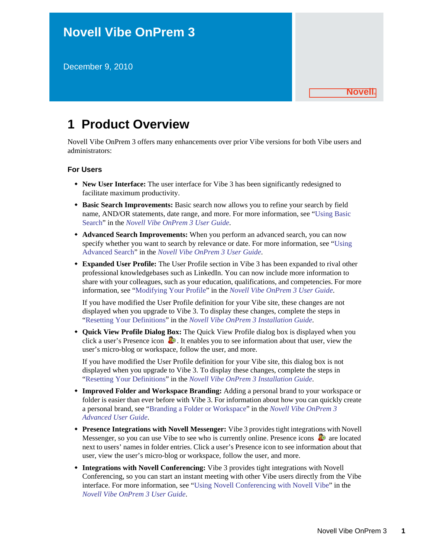December 9, 2010

# **1 Product Overview**

Novell Vibe OnPrem 3 offers many enhancements over prior Vibe versions for both Vibe users and administrators:

#### **For Users**

- **New User Interface:** The user interface for Vibe 3 has been significantly redesigned to facilitate maximum productivity.
- **Basic Search Improvements:** Basic search now allows you to refine your search by field name, AND/OR statements, date range, and more. For more information, see "Using Basic Search" in the *Novell Vibe OnPrem 3 User Guide*.
- **Advanced Search Improvements:** When you perform an advanced search, you can now specify whether you want to search by relevance or date. For more information, see "Using Advanced Search" in the *Novell Vibe OnPrem 3 User Guide*.
- **Expanded User Profile:** The User Profile section in Vibe 3 has been expanded to rival other professional knowledgebases such as LinkedIn. You can now include more information to share with your colleagues, such as your education, qualifications, and competencies. For more information, see "Modifying Your Profile" in the *Novell Vibe OnPrem 3 User Guide*.

If you have modified the User Profile definition for your Vibe site, these changes are not displayed when you upgrade to Vibe 3. To display these changes, complete the steps in "Resetting Your Definitions" in the *Novell Vibe OnPrem 3 Installation Guide*.

 **Quick View Profile Dialog Box:** The Quick View Profile dialog box is displayed when you click a user's Presence icon  $\bullet$ . It enables you to see information about that user, view the user's micro-blog or workspace, follow the user, and more.

If you have modified the User Profile definition for your Vibe site, this dialog box is not displayed when you upgrade to Vibe 3. To display these changes, complete the steps in "Resetting Your Definitions" in the *Novell Vibe OnPrem 3 Installation Guide*.

- **Improved Folder and Workspace Branding:** Adding a personal brand to your workspace or folder is easier than ever before with Vibe 3. For information about how you can quickly create a personal brand, see "Branding a Folder or Workspace" in the *Novell Vibe OnPrem 3 Advanced User Guide*.
- **Presence Integrations with Novell Messenger:** Vibe 3 provides tight integrations with Novell Messenger, so you can use Vibe to see who is currently online. Presence icons  $\bullet$  are located next to users' names in folder entries. Click a user's Presence icon to see information about that user, view the user's micro-blog or workspace, follow the user, and more.
- **Integrations with Novell Conferencing:** Vibe 3 provides tight integrations with Novell Conferencing, so you can start an instant meeting with other Vibe users directly from the Vibe interface. For more information, see "Using Novell Conferencing with Novell Vibe" in the *Novell Vibe OnPrem 3 User Guide*.

**Novell®**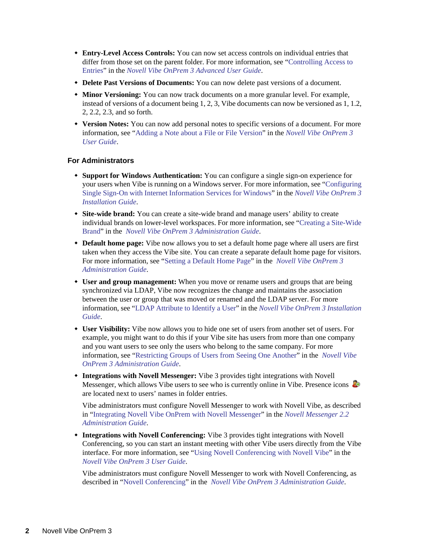- **Entry-Level Access Controls:** You can now set access controls on individual entries that differ from those set on the parent folder. For more information, see "Controlling Access to Entries" in the *Novell Vibe OnPrem 3 Advanced User Guide*.
- **Delete Past Versions of Documents:** You can now delete past versions of a document.
- **Minor Versioning:** You can now track documents on a more granular level. For example, instead of versions of a document being 1, 2, 3, Vibe documents can now be versioned as 1, 1.2, 2, 2.2, 2.3, and so forth.
- **Version Notes:** You can now add personal notes to specific versions of a document. For more information, see "Adding a Note about a File or File Version" in the *Novell Vibe OnPrem 3 User Guide*.

#### **For Administrators**

- **Support for Windows Authentication:** You can configure a single sign-on experience for your users when Vibe is running on a Windows server. For more information, see "Configuring Single Sign-On with Internet Information Services for Windows" in the *Novell Vibe OnPrem 3 Installation Guide*.
- **Site-wide brand:** You can create a site-wide brand and manage users' ability to create individual brands on lower-level workspaces. For more information, see "Creating a Site-Wide Brand" in the *Novell Vibe OnPrem 3 Administration Guide*.
- **Default home page:** Vibe now allows you to set a default home page where all users are first taken when they access the Vibe site. You can create a separate default home page for visitors. For more information, see "Setting a Default Home Page" in the *Novell Vibe OnPrem 3 Administration Guide*.
- **User and group management:** When you move or rename users and groups that are being synchronized via LDAP, Vibe now recognizes the change and maintains the association between the user or group that was moved or renamed and the LDAP server. For more information, see "LDAP Attribute to Identify a User" in the *Novell Vibe OnPrem 3 Installation Guide*.
- **User Visibility:** Vibe now allows you to hide one set of users from another set of users. For example, you might want to do this if your Vibe site has users from more than one company and you want users to see only the users who belong to the same company. For more information, see "Restricting Groups of Users from Seeing One Another" in the *Novell Vibe OnPrem 3 Administration Guide*.
- **Integrations with Novell Messenger:** Vibe 3 provides tight integrations with Novell Messenger, which allows Vibe users to see who is currently online in Vibe. Presence icons  $\bullet$ are located next to users' names in folder entries.

Vibe administrators must configure Novell Messenger to work with Novell Vibe, as described in "Integrating Novell Vibe OnPrem with Novell Messenger" in the *Novell Messenger 2.2 Administration Guide*.

 **Integrations with Novell Conferencing:** Vibe 3 provides tight integrations with Novell Conferencing, so you can start an instant meeting with other Vibe users directly from the Vibe interface. For more information, see "Using Novell Conferencing with Novell Vibe" in the *Novell Vibe OnPrem 3 User Guide*.

Vibe administrators must configure Novell Messenger to work with Novell Conferencing, as described in "Novell Conferencing" in the *Novell Vibe OnPrem 3 Administration Guide*.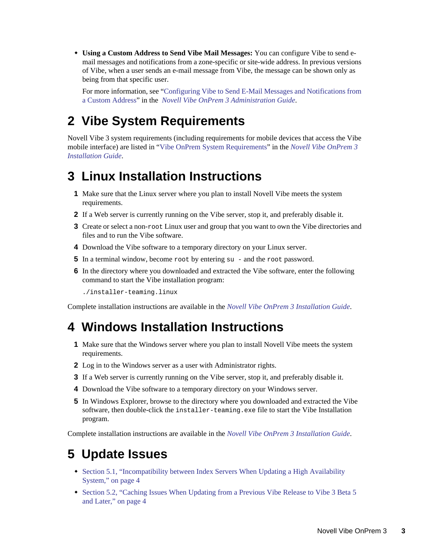**Using a Custom Address to Send Vibe Mail Messages:** You can configure Vibe to send email messages and notifications from a zone-specific or site-wide address. In previous versions of Vibe, when a user sends an e-mail message from Vibe, the message can be shown only as being from that specific user.

For more information, see "Configuring Vibe to Send E-Mail Messages and Notifications from a Custom Address" in the *Novell Vibe OnPrem 3 Administration Guide*.

# **2 Vibe System Requirements**

Novell Vibe 3 system requirements (including requirements for mobile devices that access the Vibe mobile interface) are listed in "Vibe OnPrem System Requirements" in the *Novell Vibe OnPrem 3 Installation Guide*.

# **3 Linux Installation Instructions**

- **1** Make sure that the Linux server where you plan to install Novell Vibe meets the system requirements.
- **2** If a Web server is currently running on the Vibe server, stop it, and preferably disable it.
- **3** Create or select a non-root Linux user and group that you want to own the Vibe directories and files and to run the Vibe software.
- **4** Download the Vibe software to a temporary directory on your Linux server.
- **5** In a terminal window, become root by entering su and the root password.
- **6** In the directory where you downloaded and extracted the Vibe software, enter the following command to start the Vibe installation program:

./installer-teaming.linux

Complete installation instructions are available in the *Novell Vibe OnPrem 3 Installation Guide*.

## **4 Windows Installation Instructions**

- **1** Make sure that the Windows server where you plan to install Novell Vibe meets the system requirements.
- **2** Log in to the Windows server as a user with Administrator rights.
- **3** If a Web server is currently running on the Vibe server, stop it, and preferably disable it.
- **4** Download the Vibe software to a temporary directory on your Windows server.
- **5** In Windows Explorer, browse to the directory where you downloaded and extracted the Vibe software, then double-click the installer-teaming.exe file to start the Vibe Installation program.

Complete installation instructions are available in the *Novell Vibe OnPrem 3 Installation Guide*.

## **5 Update Issues**

- [Section 5.1, "Incompatibility between Index Servers When Updating a High Availability](#page-3-1)  [System," on page 4](#page-3-1)
- [Section 5.2, "Caching Issues When Updating from a Previous Vibe Release to Vibe 3 Beta 5](#page-3-0)  [and Later," on page 4](#page-3-0)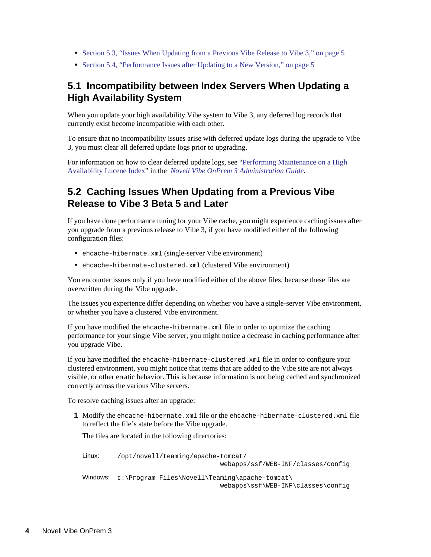- [Section 5.3, "Issues When Updating from a Previous Vibe Release to Vibe 3," on page 5](#page-4-0)
- [Section 5.4, "Performance Issues after Updating to a New Version," on page 5](#page-4-1)

## <span id="page-3-1"></span>**5.1 Incompatibility between Index Servers When Updating a High Availability System**

When you update your high availability Vibe system to Vibe 3, any deferred log records that currently exist become incompatible with each other.

To ensure that no incompatibility issues arise with deferred update logs during the upgrade to Vibe 3, you must clear all deferred update logs prior to upgrading.

For information on how to clear deferred update logs, see "Performing Maintenance on a High Availability Lucene Index" in the *Novell Vibe OnPrem 3 Administration Guide*.

## <span id="page-3-0"></span>**5.2 Caching Issues When Updating from a Previous Vibe Release to Vibe 3 Beta 5 and Later**

If you have done performance tuning for your Vibe cache, you might experience caching issues after you upgrade from a previous release to Vibe 3, if you have modified either of the following configuration files:

- ehcache-hibernate.xml (single-server Vibe environment)
- ehcache-hibernate-clustered.xml (clustered Vibe environment)

You encounter issues only if you have modified either of the above files, because these files are overwritten during the Vibe upgrade.

The issues you experience differ depending on whether you have a single-server Vibe environment, or whether you have a clustered Vibe environment.

If you have modified the ehcache-hibernate.xml file in order to optimize the caching performance for your single Vibe server, you might notice a decrease in caching performance after you upgrade Vibe.

If you have modified the ehcache-hibernate-clustered.xml file in order to configure your clustered environment, you might notice that items that are added to the Vibe site are not always visible, or other erratic behavior. This is because information is not being cached and synchronized correctly across the various Vibe servers.

To resolve caching issues after an upgrade:

**1** Modify the ehcache-hibernate.xml file or the ehcache-hibernate-clustered.xml file to reflect the file's state before the Vibe upgrade.

The files are located in the following directories:

```
Linux: /opt/novell/teaming/apache-tomcat/
                                     webapps/ssf/WEB-INF/classes/config
Windows: c:\Program Files\Novell\Teaming\apache-tomcat\
                                     webapps\ssf\WEB-INF\classes\config
```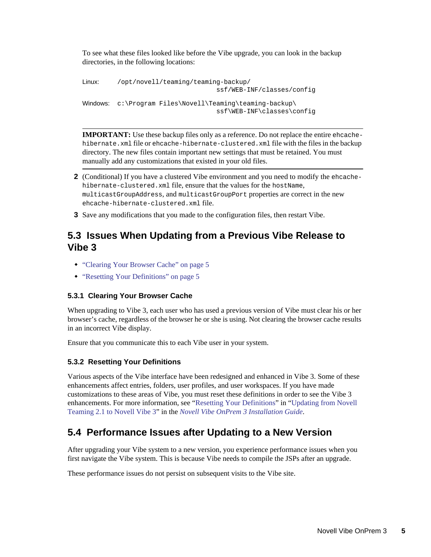To see what these files looked like before the Vibe upgrade, you can look in the backup directories, in the following locations:

```
Linux: /opt/novell/teaming/teaming-backup/
                                    ssf/WEB-INF/classes/config
Windows: c:\Program Files\Novell\Teaming\teaming-backup\
                                    ssf\WEB-INF\classes\config
```
**IMPORTANT:** Use these backup files only as a reference. Do not replace the entire ehcachehibernate.xml file or ehcache-hibernate-clustered.xml file with the files in the backup directory. The new files contain important new settings that must be retained. You must manually add any customizations that existed in your old files.

- **2** (Conditional) If you have a clustered Vibe environment and you need to modify the ehcachehibernate-clustered.xml file, ensure that the values for the hostName, multicastGroupAddress, and multicastGroupPort properties are correct in the new ehcache-hibernate-clustered.xml file.
- **3** Save any modifications that you made to the configuration files, then restart Vibe.

## <span id="page-4-0"></span>**5.3 Issues When Updating from a Previous Vibe Release to Vibe 3**

- ["Clearing Your Browser Cache" on page 5](#page-4-2)
- ["Resetting Your Definitions" on page 5](#page-4-3)

#### <span id="page-4-2"></span>**5.3.1 Clearing Your Browser Cache**

When upgrading to Vibe 3, each user who has used a previous version of Vibe must clear his or her browser's cache, regardless of the browser he or she is using. Not clearing the browser cache results in an incorrect Vibe display.

Ensure that you communicate this to each Vibe user in your system.

#### <span id="page-4-3"></span>**5.3.2 Resetting Your Definitions**

Various aspects of the Vibe interface have been redesigned and enhanced in Vibe 3. Some of these enhancements affect entries, folders, user profiles, and user workspaces. If you have made customizations to these areas of Vibe, you must reset these definitions in order to see the Vibe 3 enhancements. For more information, see "Resetting Your Definitions" in "Updating from Novell Teaming 2.1 to Novell Vibe 3" in the *Novell Vibe OnPrem 3 Installation Guide*.

## <span id="page-4-1"></span>**5.4 Performance Issues after Updating to a New Version**

After upgrading your Vibe system to a new version, you experience performance issues when you first navigate the Vibe system. This is because Vibe needs to compile the JSPs after an upgrade.

These performance issues do not persist on subsequent visits to the Vibe site.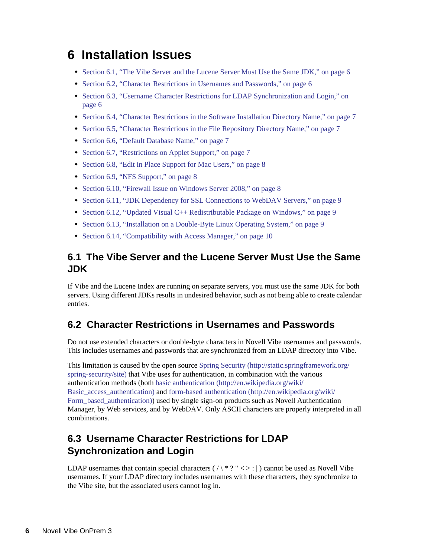# **6 Installation Issues**

- [Section 6.1, "The Vibe Server and the Lucene Server Must Use the Same JDK," on page 6](#page-5-0)
- [Section 6.2, "Character Restrictions in Usernames and Passwords," on page 6](#page-5-1)
- [Section 6.3, "Username Character Restrictions for LDAP Synchronization and Login," on](#page-5-2)  [page 6](#page-5-2)
- [Section 6.4, "Character Restrictions in the Software Installation Directory Name," on page 7](#page-6-2)
- [Section 6.5, "Character Restrictions in the File Repository Directory Name," on page 7](#page-6-1)
- [Section 6.6, "Default Database Name," on page 7](#page-6-0)
- [Section 6.7, "Restrictions on Applet Support," on page 7](#page-6-3)
- [Section 6.8, "Edit in Place Support for Mac Users," on page 8](#page-7-0)
- [Section 6.9, "NFS Support," on page 8](#page-7-1)
- [Section 6.10, "Firewall Issue on Windows Server 2008," on page 8](#page-7-2)
- [Section 6.11, "JDK Dependency for SSL Connections to WebDAV Servers," on page 9](#page-8-0)
- [Section 6.12, "Updated Visual C++ Redistributable Package on Windows," on page 9](#page-8-1)
- [Section 6.13, "Installation on a Double-Byte Linux Operating System," on page 9](#page-8-2)
- [Section 6.14, "Compatibility with Access Manager," on page 10](#page-9-0)

## <span id="page-5-0"></span>**6.1 The Vibe Server and the Lucene Server Must Use the Same JDK**

If Vibe and the Lucene Index are running on separate servers, you must use the same JDK for both servers. Using different JDKs results in undesired behavior, such as not being able to create calendar entries.

## <span id="page-5-1"></span>**6.2 Character Restrictions in Usernames and Passwords**

Do not use extended characters or double-byte characters in Novell Vibe usernames and passwords. This includes usernames and passwords that are synchronized from an LDAP directory into Vibe.

This limitation is caused by the open source [Spring Security](http://static.springframework.org/spring-security/site) (http://static.springframework.org/ spring-security/site) that Vibe uses for authentication, in combination with the various authentication methods (both [basic authentication](http://en.wikipedia.org/wiki/Basic_access_authentication) (http://en.wikipedia.org/wiki/ Basic access authentication) and [form-based authentication](http://en.wikipedia.org/wiki/Form_based_authentication) (http://en.wikipedia.org/wiki/ Form based authentication)) used by single sign-on products such as Novell Authentication Manager, by Web services, and by WebDAV. Only ASCII characters are properly interpreted in all combinations.

## <span id="page-5-2"></span>**6.3 Username Character Restrictions for LDAP Synchronization and Login**

LDAP usernames that contain special characters  $( / \ \ \, * \ ? \ \ \, < > : | )$  cannot be used as Novell Vibe usernames. If your LDAP directory includes usernames with these characters, they synchronize to the Vibe site, but the associated users cannot log in.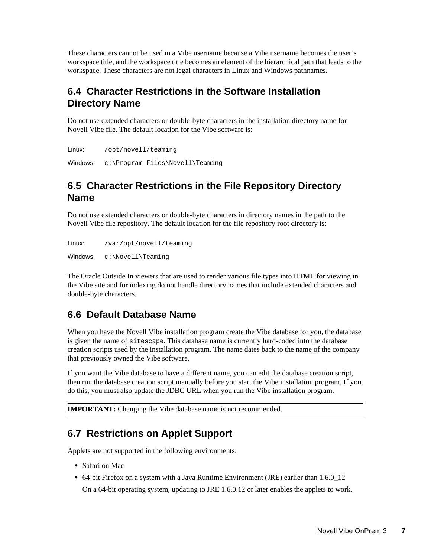These characters cannot be used in a Vibe username because a Vibe username becomes the user's workspace title, and the workspace title becomes an element of the hierarchical path that leads to the workspace. These characters are not legal characters in Linux and Windows pathnames.

## <span id="page-6-2"></span>**6.4 Character Restrictions in the Software Installation Directory Name**

Do not use extended characters or double-byte characters in the installation directory name for Novell Vibe file. The default location for the Vibe software is:

Linux: /opt/novell/teaming

Windows: c:\Program Files\Novell\Teaming

## <span id="page-6-1"></span>**6.5 Character Restrictions in the File Repository Directory Name**

Do not use extended characters or double-byte characters in directory names in the path to the Novell Vibe file repository. The default location for the file repository root directory is:

Linux: /var/opt/novell/teaming

Windows: c:\Novell\Teaming

The Oracle Outside In viewers that are used to render various file types into HTML for viewing in the Vibe site and for indexing do not handle directory names that include extended characters and double-byte characters.

## <span id="page-6-0"></span>**6.6 Default Database Name**

When you have the Novell Vibe installation program create the Vibe database for you, the database is given the name of sitescape. This database name is currently hard-coded into the database creation scripts used by the installation program. The name dates back to the name of the company that previously owned the Vibe software.

If you want the Vibe database to have a different name, you can edit the database creation script, then run the database creation script manually before you start the Vibe installation program. If you do this, you must also update the JDBC URL when you run the Vibe installation program.

**IMPORTANT:** Changing the Vibe database name is not recommended.

## <span id="page-6-3"></span>**6.7 Restrictions on Applet Support**

Applets are not supported in the following environments:

- Safari on Mac
- 64-bit Firefox on a system with a Java Runtime Environment (JRE) earlier than 1.6.0\_12 On a 64-bit operating system, updating to JRE 1.6.0.12 or later enables the applets to work.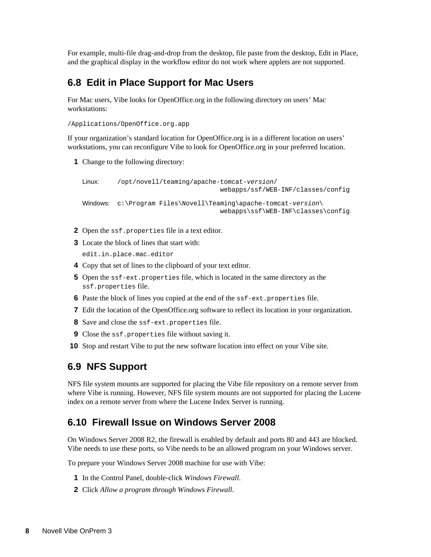For example, multi-file drag-and-drop from the desktop, file paste from the desktop, Edit in Place, and the graphical display in the workflow editor do not work where applets are not supported.

## <span id="page-7-0"></span>**6.8 Edit in Place Support for Mac Users**

For Mac users, Vibe looks for OpenOffice.org in the following directory on users' Mac workstations:

/Applications/OpenOffice.org.app

If your organization's standard location for OpenOffice.org is in a different location on users' workstations, you can reconfigure Vibe to look for OpenOffice.org in your preferred location.

**1** Change to the following directory:

```
Linux: /opt/novell/teaming/apache-tomcat-version/
                                     webapps/ssf/WEB-INF/classes/config
Windows: c:\Program Files\Novell\Teaming\apache-tomcat-version\
                                     webapps\ssf\WEB-INF\classes\config
```
- **2** Open the ssf.properties file in a text editor.
- **3** Locate the block of lines that start with:

edit.in.place.mac.editor

- **4** Copy that set of lines to the clipboard of your text editor.
- **5** Open the ssf-ext.properties file, which is located in the same directory as the ssf.properties file.
- **6** Paste the block of lines you copied at the end of the ssf-ext.properties file.
- **7** Edit the location of the OpenOffice.org software to reflect its location in your organization.
- **8** Save and close the ssf-ext.properties file.
- **9** Close the ssf.properties file without saving it.
- **10** Stop and restart Vibe to put the new software location into effect on your Vibe site.

## <span id="page-7-1"></span>**6.9 NFS Support**

NFS file system mounts are supported for placing the Vibe file repository on a remote server from where Vibe is running. However, NFS file system mounts are not supported for placing the Lucene index on a remote server from where the Lucene Index Server is running.

## <span id="page-7-2"></span>**6.10 Firewall Issue on Windows Server 2008**

On Windows Server 2008 R2, the firewall is enabled by default and ports 80 and 443 are blocked. Vibe needs to use these ports, so Vibe needs to be an allowed program on your Windows server.

To prepare your Windows Server 2008 machine for use with Vibe:

- **1** In the Control Panel, double-click *Windows Firewall*.
- **2** Click *Allow a program through Windows Firewall*.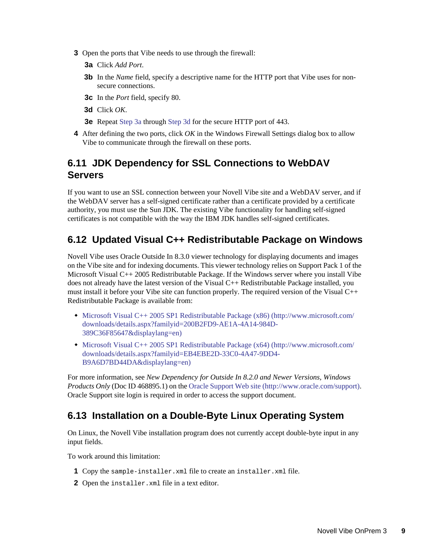- <span id="page-8-3"></span>**3** Open the ports that Vibe needs to use through the firewall:
	- **3a** Click *Add Port*.
	- **3b** In the *Name* field, specify a descriptive name for the HTTP port that Vibe uses for nonsecure connections.
	- **3c** In the *Port* field, specify 80.
	- **3d** Click *OK*.
	- **3e** Repeat [Step 3a](#page-8-3) through [Step 3d](#page-8-4) for the secure HTTP port of 443.
- <span id="page-8-4"></span>**4** After defining the two ports, click *OK* in the Windows Firewall Settings dialog box to allow Vibe to communicate through the firewall on these ports.

## <span id="page-8-0"></span>**6.11 JDK Dependency for SSL Connections to WebDAV Servers**

If you want to use an SSL connection between your Novell Vibe site and a WebDAV server, and if the WebDAV server has a self-signed certificate rather than a certificate provided by a certificate authority, you must use the Sun JDK. The existing Vibe functionality for handling self-signed certificates is not compatible with the way the IBM JDK handles self-signed certificates.

## <span id="page-8-1"></span>**6.12 Updated Visual C++ Redistributable Package on Windows**

Novell Vibe uses Oracle Outside In 8.3.0 viewer technology for displaying documents and images on the Vibe site and for indexing documents. This viewer technology relies on Support Pack 1 of the Microsoft Visual C++ 2005 Redistributable Package. If the Windows server where you install Vibe does not already have the latest version of the Visual C++ Redistributable Package installed, you must install it before your Vibe site can function properly. The required version of the Visual C++ Redistributable Package is available from:

- [Microsoft Visual C++ 2005 SP1 Redistributable Package \(x86\)](http://www.microsoft.com/downloads/details.aspx?familyid=200B2FD9-AE1A-4A14-984D-389C36F85647&displaylang=en) (http://www.microsoft.com/ downloads/details.aspx?familyid=200B2FD9-AE1A-4A14-984D-389C36F85647&displaylang=en)
- [Microsoft Visual C++ 2005 SP1 Redistributable Package \(x64\)](http://www.microsoft.com/downloads/details.aspx?familyid=EB4EBE2D-33C0-4A47-9DD4-B9A6D7BD44DA&displaylang=en) (http://www.microsoft.com/ downloads/details.aspx?familyid=EB4EBE2D-33C0-4A47-9DD4- B9A6D7BD44DA&displaylang=en)

For more information, see *New Dependency for Outside In 8.2.0 and Newer Versions, Windows Products Only* (Doc ID 468895.1) on the [Oracle Support Web site](http://www.oracle.com/support) (http://www.oracle.com/support). Oracle Support site login is required in order to access the support document.

## <span id="page-8-2"></span>**6.13 Installation on a Double-Byte Linux Operating System**

On Linux, the Novell Vibe installation program does not currently accept double-byte input in any input fields.

To work around this limitation:

- **1** Copy the sample-installer.xml file to create an installer.xml file.
- **2** Open the installer.xml file in a text editor.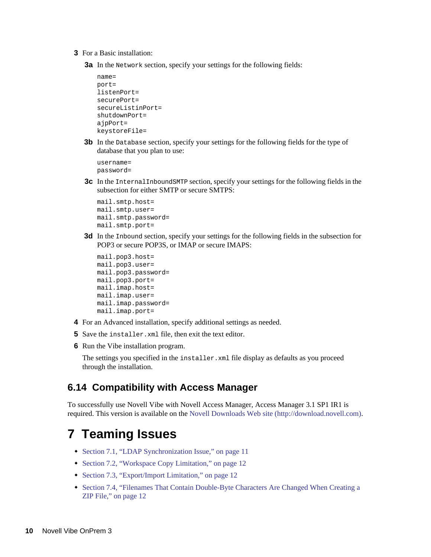- **3** For a Basic installation:
	- **3a** In the Network section, specify your settings for the following fields:

```
name=
port=
listenPort=
securePort=
secureListinPort=
shutdownPort=
ajpPort=
keystoreFile=
```
**3b** In the Database section, specify your settings for the following fields for the type of database that you plan to use:

username= password=

**3c** In the InternalInboundSMTP section, specify your settings for the following fields in the subsection for either SMTP or secure SMTPS:

```
mail.smtp.host=
mail.smtp.user=
mail.smtp.password=
mail.smtp.port=
```
**3d** In the Inbound section, specify your settings for the following fields in the subsection for POP3 or secure POP3S, or IMAP or secure IMAPS:

```
mail.pop3.host=
mail.pop3.user=
mail.pop3.password=
mail.pop3.port=
mail.imap.host=
mail.imap.user=
mail.imap.password=
mail.imap.port=
```
- **4** For an Advanced installation, specify additional settings as needed.
- **5** Save the installer.xml file, then exit the text editor.
- **6** Run the Vibe installation program.

The settings you specified in the installer.xml file display as defaults as you proceed through the installation.

### <span id="page-9-0"></span>**6.14 Compatibility with Access Manager**

To successfully use Novell Vibe with Novell Access Manager, Access Manager 3.1 SP1 IR1 is required. This version is available on the [Novell Downloads Web site](http://download.novell.com) (http://download.novell.com).

## **7 Teaming Issues**

- [Section 7.1, "LDAP Synchronization Issue," on page 11](#page-10-0)
- [Section 7.2, "Workspace Copy Limitation," on page 12](#page-11-0)
- [Section 7.3, "Export/Import Limitation," on page 12](#page-11-1)
- [Section 7.4, "Filenames That Contain Double-Byte Characters Are Changed When Creating a](#page-11-2)  [ZIP File," on page 12](#page-11-2)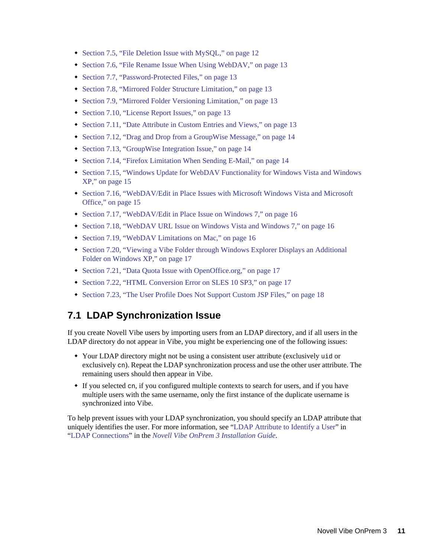- [Section 7.5, "File Deletion Issue with MySQL," on page 12](#page-11-3)
- [Section 7.6, "File Rename Issue When Using WebDAV," on page 13](#page-12-2)
- [Section 7.7, "Password-Protected Files," on page 13](#page-12-0)
- [Section 7.8, "Mirrored Folder Structure Limitation," on page 13](#page-12-3)
- [Section 7.9, "Mirrored Folder Versioning Limitation," on page 13](#page-12-4)
- [Section 7.10, "License Report Issues," on page 13](#page-12-5)
- [Section 7.11, "Date Attribute in Custom Entries and Views," on page 13](#page-12-1)
- [Section 7.12, "Drag and Drop from a GroupWise Message," on page 14](#page-13-1)
- [Section 7.13, "GroupWise Integration Issue," on page 14](#page-13-2)
- [Section 7.14, "Firefox Limitation When Sending E-Mail," on page 14](#page-13-0)
- [Section 7.15, "Windows Update for WebDAV Functionality for Windows Vista and Windows](#page-14-0)  [XP," on page 15](#page-14-0)
- [Section 7.16, "WebDAV/Edit in Place Issues with Microsoft Windows Vista and Microsoft](#page-14-1)  [Office," on page 15](#page-14-1)
- [Section 7.17, "WebDAV/Edit in Place Issue on Windows 7," on page 16](#page-15-0)
- [Section 7.18, "WebDAV URL Issue on Windows Vista and Windows 7," on page 16](#page-15-1)
- [Section 7.19, "WebDAV Limitations on Mac," on page 16](#page-15-2)
- Section 7.20, "Viewing a Vibe Folder through Windows Explorer Displays an Additional [Folder on Windows XP," on page 17](#page-16-1)
- [Section 7.21, "Data Quota Issue with OpenOffice.org," on page 17](#page-16-0)
- [Section 7.22, "HTML Conversion Error on SLES 10 SP3," on page 17](#page-16-2)
- [Section 7.23, "The User Profile Does Not Support Custom JSP Files," on page 18](#page-17-0)

## <span id="page-10-0"></span>**7.1 LDAP Synchronization Issue**

If you create Novell Vibe users by importing users from an LDAP directory, and if all users in the LDAP directory do not appear in Vibe, you might be experiencing one of the following issues:

- Your LDAP directory might not be using a consistent user attribute (exclusively uid or exclusively cn). Repeat the LDAP synchronization process and use the other user attribute. The remaining users should then appear in Vibe.
- If you selected cn, if you configured multiple contexts to search for users, and if you have multiple users with the same username, only the first instance of the duplicate username is synchronized into Vibe.

To help prevent issues with your LDAP synchronization, you should specify an LDAP attribute that uniquely identifies the user. For more information, see "LDAP Attribute to Identify a User" in "LDAP Connections" in the *Novell Vibe OnPrem 3 Installation Guide*.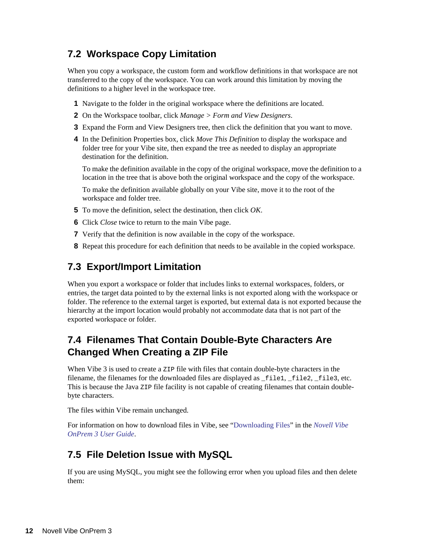## <span id="page-11-0"></span>**7.2 Workspace Copy Limitation**

When you copy a workspace, the custom form and workflow definitions in that workspace are not transferred to the copy of the workspace. You can work around this limitation by moving the definitions to a higher level in the workspace tree.

- **1** Navigate to the folder in the original workspace where the definitions are located.
- **2** On the Workspace toolbar, click *Manage > Form and View Designers*.
- **3** Expand the Form and View Designers tree, then click the definition that you want to move.
- **4** In the Definition Properties box, click *Move This Definition* to display the workspace and folder tree for your Vibe site, then expand the tree as needed to display an appropriate destination for the definition.

To make the definition available in the copy of the original workspace, move the definition to a location in the tree that is above both the original workspace and the copy of the workspace.

To make the definition available globally on your Vibe site, move it to the root of the workspace and folder tree.

- **5** To move the definition, select the destination, then click *OK*.
- **6** Click *Close* twice to return to the main Vibe page.
- **7** Verify that the definition is now available in the copy of the workspace.
- **8** Repeat this procedure for each definition that needs to be available in the copied workspace.

## <span id="page-11-1"></span>**7.3 Export/Import Limitation**

When you export a workspace or folder that includes links to external workspaces, folders, or entries, the target data pointed to by the external links is not exported along with the workspace or folder. The reference to the external target is exported, but external data is not exported because the hierarchy at the import location would probably not accommodate data that is not part of the exported workspace or folder.

## <span id="page-11-2"></span>**7.4 Filenames That Contain Double-Byte Characters Are Changed When Creating a ZIP File**

When Vibe 3 is used to create a z<sub>IP</sub> file with files that contain double-byte characters in the filename, the filenames for the downloaded files are displayed as \_file1, \_file2, \_file3, etc. This is because the Java ZIP file facility is not capable of creating filenames that contain doublebyte characters.

The files within Vibe remain unchanged.

For information on how to download files in Vibe, see "Downloading Files" in the *Novell Vibe OnPrem 3 User Guide*.

## <span id="page-11-3"></span>**7.5 File Deletion Issue with MySQL**

If you are using MySQL, you might see the following error when you upload files and then delete them: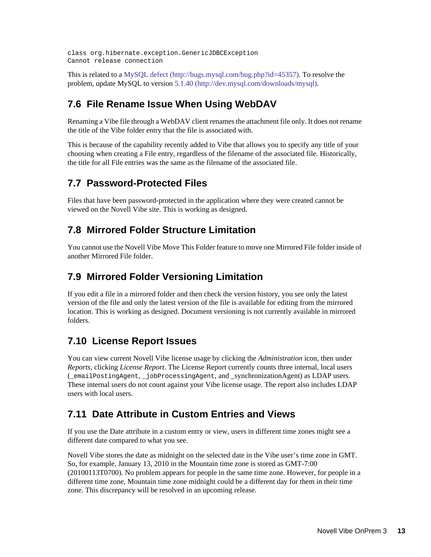```
class org.hibernate.exception.GenericJDBCException
Cannot release connection
```
This is related to a [MySQL defect](http://bugs.mysql.com/bug.php?id=45357) (http://bugs.mysql.com/bug.php?id=45357). To resolve the problem, update MySQL to version [5.1.40](http://dev.mysql.com/downloads/mysql) (http://dev.mysql.com/downloads/mysql).

## <span id="page-12-2"></span>**7.6 File Rename Issue When Using WebDAV**

Renaming a Vibe file through a WebDAV client renames the attachment file only. It does not rename the title of the Vibe folder entry that the file is associated with.

This is because of the capability recently added to Vibe that allows you to specify any title of your choosing when creating a File entry, regardless of the filename of the associated file. Historically, the title for all File entries was the same as the filename of the associated file.

## <span id="page-12-0"></span>**7.7 Password-Protected Files**

Files that have been password-protected in the application where they were created cannot be viewed on the Novell Vibe site. This is working as designed.

## <span id="page-12-3"></span>**7.8 Mirrored Folder Structure Limitation**

You cannot use the Novell Vibe Move This Folder feature to move one Mirrored File folder inside of another Mirrored File folder.

## <span id="page-12-4"></span>**7.9 Mirrored Folder Versioning Limitation**

If you edit a file in a mirrored folder and then check the version history, you see only the latest version of the file and only the latest version of the file is available for editing from the mirrored location. This is working as designed. Document versioning is not currently available in mirrored folders.

## <span id="page-12-5"></span>**7.10 License Report Issues**

You can view current Novell Vibe license usage by clicking the *Administration* icon, then under *Reports*, clicking *License Report*. The License Report currently counts three internal, local users  $($  emailPostingAgent,  $j$ obProcessingAgent, and synchronizationAgent) as LDAP users. These internal users do not count against your Vibe license usage. The report also includes LDAP users with local users.

## <span id="page-12-1"></span>**7.11 Date Attribute in Custom Entries and Views**

If you use the Date attribute in a custom entry or view, users in different time zones might see a different date compared to what you see.

Novell Vibe stores the date as midnight on the selected date in the Vibe user's time zone in GMT. So, for example, January 13, 2010 in the Mountain time zone is stored as GMT-7:00 (20100113T0700). No problem appears for people in the same time zone. However, for people in a different time zone, Mountain time zone midnight could be a different day for them in their time zone. This discrepancy will be resolved in an upcoming release.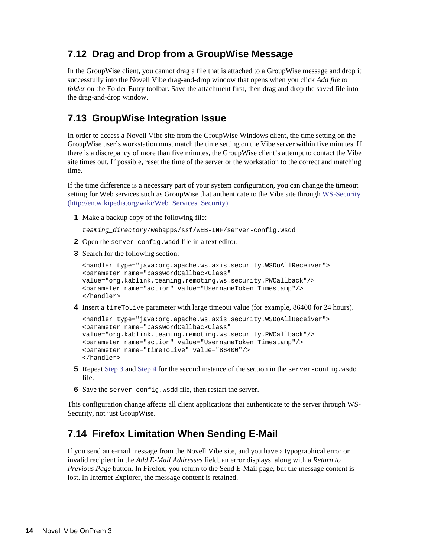## <span id="page-13-1"></span>**7.12 Drag and Drop from a GroupWise Message**

In the GroupWise client, you cannot drag a file that is attached to a GroupWise message and drop it successfully into the Novell Vibe drag-and-drop window that opens when you click *Add file to folder* on the Folder Entry toolbar. Save the attachment first, then drag and drop the saved file into the drag-and-drop window.

## <span id="page-13-2"></span>**7.13 GroupWise Integration Issue**

In order to access a Novell Vibe site from the GroupWise Windows client, the time setting on the GroupWise user's workstation must match the time setting on the Vibe server within five minutes. If there is a discrepancy of more than five minutes, the GroupWise client's attempt to contact the Vibe site times out. If possible, reset the time of the server or the workstation to the correct and matching time.

If the time difference is a necessary part of your system configuration, you can change the timeout setting for Web services such as GroupWise that authenticate to the Vibe site through [WS-Security](http://en.wikipedia.org/wiki/Web_Services_Security) (http://en.wikipedia.org/wiki/Web\_Services\_Security).

**1** Make a backup copy of the following file:

*teaming\_directory*/webapps/ssf/WEB-INF/server-config.wsdd

- **2** Open the server-config.wsdd file in a text editor.
- <span id="page-13-3"></span>**3** Search for the following section:

```
<handler type="java:org.apache.ws.axis.security.WSDoAllReceiver">
<parameter name="passwordCallbackClass"
value="org.kablink.teaming.remoting.ws.security.PWCallback"/>
<parameter name="action" value="UsernameToken Timestamp"/>
</handler>
```
<span id="page-13-4"></span>**4** Insert a timeToLive parameter with large timeout value (for example, 86400 for 24 hours).

```
<handler type="java:org.apache.ws.axis.security.WSDoAllReceiver">
<parameter name="passwordCallbackClass"
value="org.kablink.teaming.remoting.ws.security.PWCallback"/>
<parameter name="action" value="UsernameToken Timestamp"/>
<parameter name="timeToLive" value="86400"/>
</handler>
```
- **5** Repeat [Step 3](#page-13-3) and [Step 4](#page-13-4) for the second instance of the section in the server-config.wsdd file.
- **6** Save the server-config.wsdd file, then restart the server.

This configuration change affects all client applications that authenticate to the server through WS-Security, not just GroupWise.

## <span id="page-13-0"></span>**7.14 Firefox Limitation When Sending E-Mail**

If you send an e-mail message from the Novell Vibe site, and you have a typographical error or invalid recipient in the *Add E-Mail Addresses* field, an error displays, along with a *Return to Previous Page* button. In Firefox, you return to the Send E-Mail page, but the message content is lost. In Internet Explorer, the message content is retained.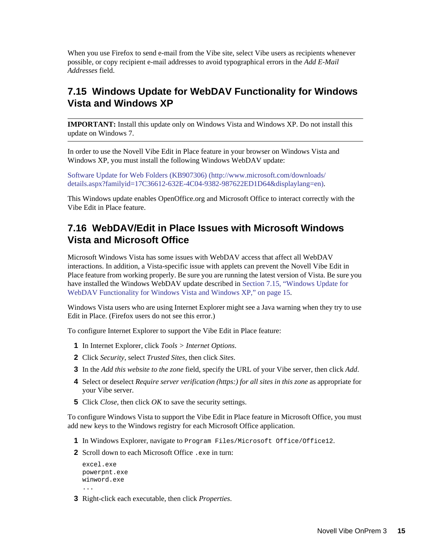When you use Firefox to send e-mail from the Vibe site, select Vibe users as recipients whenever possible, or copy recipient e-mail addresses to avoid typographical errors in the *Add E-Mail Addresses* field.

## <span id="page-14-0"></span>**7.15 Windows Update for WebDAV Functionality for Windows Vista and Windows XP**

**IMPORTANT:** Install this update only on Windows Vista and Windows XP. Do not install this update on Windows 7.

In order to use the Novell Vibe Edit in Place feature in your browser on Windows Vista and Windows XP, you must install the following Windows WebDAV update:

[Software Update for Web Folders \(KB907306\)](http://www.microsoft.com/downloads/details.aspx?familyid=17C36612-632E-4C04-9382-987622ED1D64&displaylang=en) (http://www.microsoft.com/downloads/ details.aspx?familyid=17C36612-632E-4C04-9382-987622ED1D64&displaylang=en).

This Windows update enables OpenOffice.org and Microsoft Office to interact correctly with the Vibe Edit in Place feature.

## <span id="page-14-1"></span>**7.16 WebDAV/Edit in Place Issues with Microsoft Windows Vista and Microsoft Office**

Microsoft Windows Vista has some issues with WebDAV access that affect all WebDAV interactions. In addition, a Vista-specific issue with applets can prevent the Novell Vibe Edit in Place feature from working properly. Be sure you are running the latest version of Vista. Be sure you have installed the Windows WebDAV update described in [Section 7.15, "Windows Update for](#page-14-0)  [WebDAV Functionality for Windows Vista and Windows XP," on page 15](#page-14-0).

Windows Vista users who are using Internet Explorer might see a Java warning when they try to use Edit in Place. (Firefox users do not see this error.)

To configure Internet Explorer to support the Vibe Edit in Place feature:

- **1** In Internet Explorer, click *Tools > Internet Options*.
- **2** Click *Security*, select *Trusted Sites*, then click *Sites*.
- **3** In the *Add this website to the zone* field, specify the URL of your Vibe server, then click *Add*.
- **4** Select or deselect *Require server verification (https:) for all sites in this zone* as appropriate for your Vibe server.
- **5** Click *Close*, then click *OK* to save the security settings.

To configure Windows Vista to support the Vibe Edit in Place feature in Microsoft Office, you must add new keys to the Windows registry for each Microsoft Office application.

- **1** In Windows Explorer, navigate to Program Files/Microsoft Office/Office12.
- **2** Scroll down to each Microsoft Office .exe in turn:

```
excel.exe
powerpnt.exe
winword.exe
...
```
**3** Right-click each executable, then click *Properties*.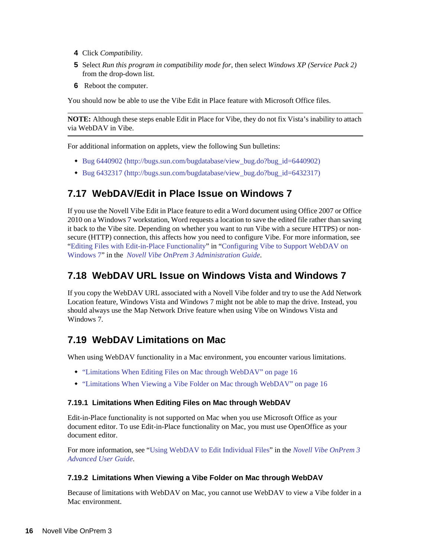- **4** Click *Compatibility*.
- **5** Select *Run this program in compatibility mode for*, then select *Windows XP (Service Pack 2)* from the drop-down list.
- **6** Reboot the computer.

You should now be able to use the Vibe Edit in Place feature with Microsoft Office files.

**NOTE:** Although these steps enable Edit in Place for Vibe, they do not fix Vista's inability to attach via WebDAV in Vibe.

For additional information on applets, view the following Sun bulletins:

- [Bug 6440902](http://bugs.sun.com/bugdatabase/view_bug.do?bug_id=6440902) (http://bugs.sun.com/bugdatabase/view\_bug.do?bug\_id=6440902)
- [Bug 6432317](http://bugs.sun.com/bugdatabase/view_bug.do?bug_id=6432317) (http://bugs.sun.com/bugdatabase/view\_bug.do?bug\_id=6432317)

## <span id="page-15-0"></span>**7.17 WebDAV/Edit in Place Issue on Windows 7**

If you use the Novell Vibe Edit in Place feature to edit a Word document using Office 2007 or Office 2010 on a Windows 7 workstation, Word requests a location to save the edited file rather than saving it back to the Vibe site. Depending on whether you want to run Vibe with a secure HTTPS) or nonsecure (HTTP) connection, this affects how you need to configure Vibe. For more information, see "Editing Files with Edit-in-Place Functionality" in "Configuring Vibe to Support WebDAV on Windows 7" in the *Novell Vibe OnPrem 3 Administration Guide*.

## <span id="page-15-1"></span>**7.18 WebDAV URL Issue on Windows Vista and Windows 7**

If you copy the WebDAV URL associated with a Novell Vibe folder and try to use the Add Network Location feature, Windows Vista and Windows 7 might not be able to map the drive. Instead, you should always use the Map Network Drive feature when using Vibe on Windows Vista and Windows 7.

## <span id="page-15-2"></span>**7.19 WebDAV Limitations on Mac**

When using WebDAV functionality in a Mac environment, you encounter various limitations.

- ["Limitations When Editing Files on Mac through WebDAV" on page 16](#page-15-3)
- ["Limitations When Viewing a Vibe Folder on Mac through WebDAV" on page 16](#page-15-4)

#### <span id="page-15-3"></span>**7.19.1 Limitations When Editing Files on Mac through WebDAV**

Edit-in-Place functionality is not supported on Mac when you use Microsoft Office as your document editor. To use Edit-in-Place functionality on Mac, you must use OpenOffice as your document editor.

For more information, see "Using WebDAV to Edit Individual Files" in the *Novell Vibe OnPrem 3 Advanced User Guide*.

#### <span id="page-15-4"></span>**7.19.2 Limitations When Viewing a Vibe Folder on Mac through WebDAV**

Because of limitations with WebDAV on Mac, you cannot use WebDAV to view a Vibe folder in a Mac environment.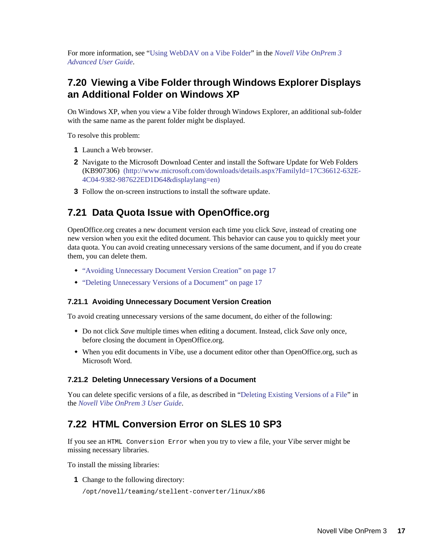For more information, see "Using WebDAV on a Vibe Folder" in the *Novell Vibe OnPrem 3 Advanced User Guide*.

## <span id="page-16-1"></span>**7.20 Viewing a Vibe Folder through Windows Explorer Displays an Additional Folder on Windows XP**

On Windows XP, when you view a Vibe folder through Windows Explorer, an additional sub-folder with the same name as the parent folder might be displayed.

To resolve this problem:

- **1** Launch a Web browser.
- **2** Navigate to the Microsoft Download Center and install the Software Update for Web Folders (KB907306) (http://www.microsoft.com/downloads/details.aspx?FamilyId=17C36612-632E-4C04-9382-987622ED1D64&displaylang=en)
- **3** Follow the on-screen instructions to install the software update.

## <span id="page-16-0"></span>**7.21 Data Quota Issue with OpenOffice.org**

OpenOffice.org creates a new document version each time you click *Save*, instead of creating one new version when you exit the edited document. This behavior can cause you to quickly meet your data quota. You can avoid creating unnecessary versions of the same document, and if you do create them, you can delete them.

- ["Avoiding Unnecessary Document Version Creation" on page 17](#page-16-3)
- ["Deleting Unnecessary Versions of a Document" on page 17](#page-16-4)

#### <span id="page-16-3"></span>**7.21.1 Avoiding Unnecessary Document Version Creation**

To avoid creating unnecessary versions of the same document, do either of the following:

- Do not click *Save* multiple times when editing a document. Instead, click *Save* only once, before closing the document in OpenOffice.org.
- When you edit documents in Vibe, use a document editor other than OpenOffice.org, such as Microsoft Word.

#### <span id="page-16-4"></span>**7.21.2 Deleting Unnecessary Versions of a Document**

You can delete specific versions of a file, as described in "Deleting Existing Versions of a File" in the *Novell Vibe OnPrem 3 User Guide*.

### <span id="page-16-2"></span>**7.22 HTML Conversion Error on SLES 10 SP3**

If you see an HTML Conversion Error when you try to view a file, your Vibe server might be missing necessary libraries.

To install the missing libraries:

**1** Change to the following directory:

```
/opt/novell/teaming/stellent-converter/linux/x86
```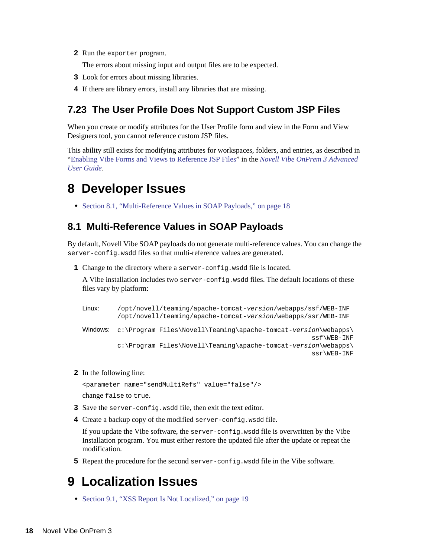**2** Run the exporter program.

The errors about missing input and output files are to be expected.

- **3** Look for errors about missing libraries.
- **4** If there are library errors, install any libraries that are missing.

### <span id="page-17-0"></span>**7.23 The User Profile Does Not Support Custom JSP Files**

When you create or modify attributes for the User Profile form and view in the Form and View Designers tool, you cannot reference custom JSP files.

This ability still exists for modifying attributes for workspaces, folders, and entries, as described in "Enabling Vibe Forms and Views to Reference JSP Files" in the *Novell Vibe OnPrem 3 Advanced User Guide*.

## **8 Developer Issues**

[Section 8.1, "Multi-Reference Values in SOAP Payloads," on page 18](#page-17-1)

### <span id="page-17-1"></span>**8.1 Multi-Reference Values in SOAP Payloads**

By default, Novell Vibe SOAP payloads do not generate multi-reference values. You can change the server-config.wsdd files so that multi-reference values are generated.

**1** Change to the directory where a server-config.wsdd file is located.

A Vibe installation includes two server-config.wsdd files. The default locations of these files vary by platform:

```
Linux: /opt/novell/teaming/apache-tomcat-version/webapps/ssf/WEB-INF
         /opt/novell/teaming/apache-tomcat-version/webapps/ssr/WEB-INF
Windows: c:\Program Files\Novell\Teaming\apache-tomcat-version\webapps\
                                                             ssf\WEB-INF
         c:\Program Files\Novell\Teaming\apache-tomcat-version\webapps\
                                                             ssr\WEB-INF
```
**2** In the following line:

<parameter name="sendMultiRefs" value="false"/> change false to true.

- **3** Save the server-config.wsdd file, then exit the text editor.
- **4** Create a backup copy of the modified server-config.wsdd file.

If you update the Vibe software, the server-config.wsdd file is overwritten by the Vibe Installation program. You must either restore the updated file after the update or repeat the modification.

**5** Repeat the procedure for the second server-config.wsdd file in the Vibe software.

# **9 Localization Issues**

[Section 9.1, "XSS Report Is Not Localized," on page 19](#page-18-0)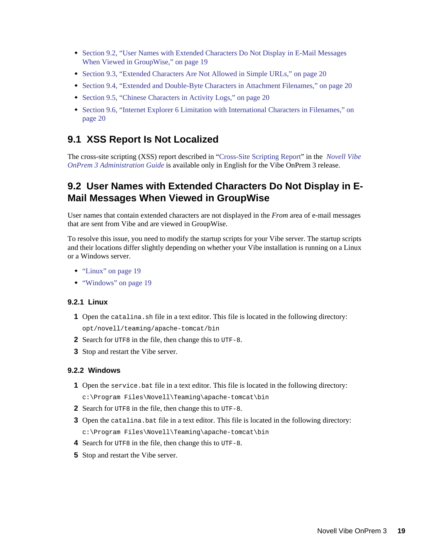- [Section 9.2, "User Names with Extended Characters Do Not Display in E-Mail Messages](#page-18-1)  [When Viewed in GroupWise," on page 19](#page-18-1)
- [Section 9.3, "Extended Characters Are Not Allowed in Simple URLs," on page 20](#page-19-0)
- [Section 9.4, "Extended and Double-Byte Characters in Attachment Filenames," on page 20](#page-19-1)
- [Section 9.5, "Chinese Characters in Activity Logs," on page 20](#page-19-2)
- [Section 9.6, "Internet Explorer 6 Limitation with International Characters in Filenames," on](#page-19-3)  [page 20](#page-19-3)

## <span id="page-18-0"></span>**9.1 XSS Report Is Not Localized**

The cross-site scripting (XSS) report described in "Cross-Site Scripting Report" in the *Novell Vibe OnPrem 3 Administration Guide* is available only in English for the Vibe OnPrem 3 release.

## <span id="page-18-1"></span>**9.2 User Names with Extended Characters Do Not Display in E-Mail Messages When Viewed in GroupWise**

User names that contain extended characters are not displayed in the *From* area of e-mail messages that are sent from Vibe and are viewed in GroupWise.

To resolve this issue, you need to modify the startup scripts for your Vibe server. The startup scripts and their locations differ slightly depending on whether your Vibe installation is running on a Linux or a Windows server.

- ["Linux" on page 19](#page-18-2)
- ["Windows" on page 19](#page-18-3)

#### <span id="page-18-2"></span>**9.2.1 Linux**

- **1** Open the catalina.sh file in a text editor. This file is located in the following directory: opt/novell/teaming/apache-tomcat/bin
- **2** Search for UTF8 in the file, then change this to UTF-8.
- **3** Stop and restart the Vibe server.

#### <span id="page-18-3"></span>**9.2.2 Windows**

- **1** Open the service.bat file in a text editor. This file is located in the following directory: c:\Program Files\Novell\Teaming\apache-tomcat\bin
- **2** Search for UTF8 in the file, then change this to UTF-8.
- **3** Open the catalina.bat file in a text editor. This file is located in the following directory: c:\Program Files\Novell\Teaming\apache-tomcat\bin
- **4** Search for UTF8 in the file, then change this to UTF-8.
- **5** Stop and restart the Vibe server.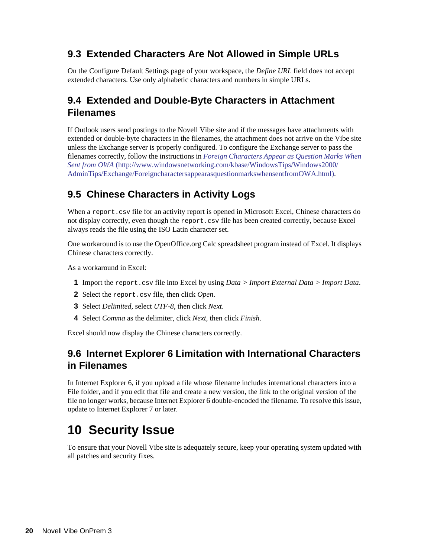## <span id="page-19-0"></span>**9.3 Extended Characters Are Not Allowed in Simple URLs**

On the Configure Default Settings page of your workspace, the *Define URL* field does not accept extended characters. Use only alphabetic characters and numbers in simple URLs.

## <span id="page-19-1"></span>**9.4 Extended and Double-Byte Characters in Attachment Filenames**

If Outlook users send postings to the Novell Vibe site and if the messages have attachments with extended or double-byte characters in the filenames, the attachment does not arrive on the Vibe site unless the Exchange server is properly configured. To configure the Exchange server to pass the filenames correctly, follow the instructions in *[Foreign Characters Appear as Question Marks When](http://www.windowsnetworking.com/kbase/WindowsTips/Windows2000/AdminTips/Exchange/ForeigncharactersappearasquestionmarkswhensentfromOWA.html)  [Sent from OWA](http://www.windowsnetworking.com/kbase/WindowsTips/Windows2000/AdminTips/Exchange/ForeigncharactersappearasquestionmarkswhensentfromOWA.html)* [\(](http://www.windowsnetworking.com/kbase/WindowsTips/Windows2000/AdminTips/Exchange/ForeigncharactersappearasquestionmarkswhensentfromOWA.html)http://www.windowsnetworking.com/kbase/WindowsTips/Windows2000/ AdminTips/Exchange/ForeigncharactersappearasquestionmarkswhensentfromOWA.html).

## <span id="page-19-2"></span>**9.5 Chinese Characters in Activity Logs**

When a report.csv file for an activity report is opened in Microsoft Excel, Chinese characters do not display correctly, even though the report.csv file has been created correctly, because Excel always reads the file using the ISO Latin character set.

One workaround is to use the OpenOffice.org Calc spreadsheet program instead of Excel. It displays Chinese characters correctly.

As a workaround in Excel:

- **1** Import the report.csv file into Excel by using *Data > Import External Data > Import Data*.
- **2** Select the report.csv file, then click *Open*.
- **3** Select *Delimited*, select *UTF-8*, then click *Next*.
- **4** Select *Comma* as the delimiter, click *Next*, then click *Finish*.

Excel should now display the Chinese characters correctly.

## <span id="page-19-3"></span>**9.6 Internet Explorer 6 Limitation with International Characters in Filenames**

In Internet Explorer 6, if you upload a file whose filename includes international characters into a File folder, and if you edit that file and create a new version, the link to the original version of the file no longer works, because Internet Explorer 6 double-encoded the filename. To resolve this issue, update to Internet Explorer 7 or later.

# **10 Security Issue**

To ensure that your Novell Vibe site is adequately secure, keep your operating system updated with all patches and security fixes.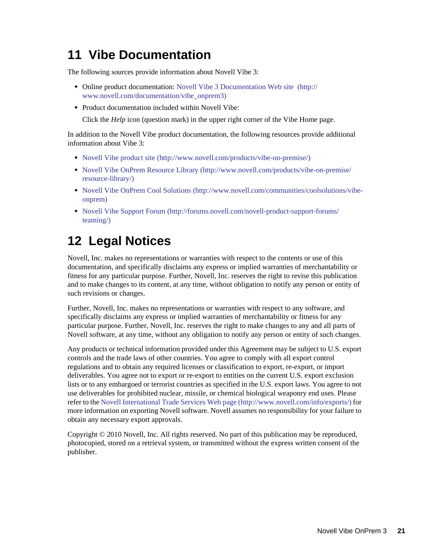# **11 Vibe Documentation**

The following sources provide information about Novell Vibe 3:

- Online product documentation: [Novell Vibe 3 Documentation Web site](http://www.novell.com/documentation/vibe_onprem3) (http:// www.novell.com/documentation/vibe\_onprem3)
- Product documentation included within Novell Vibe:

Click the *Help* icon (question mark) in the upper right corner of the Vibe Home page.

In addition to the Novell Vibe product documentation, the following resources provide additional information about Vibe 3:

- [Novell Vibe product site](http://www.novell.com/products/vibe-on-premise/) (http://www.novell.com/products/vibe-on-premise/)
- [Novell Vibe OnPrem Resource Library](http://www.novell.com/products/vibe-on-premise/resource-library/) (http://www.novell.com/products/vibe-on-premise/ resource-library/)
- [Novell Vibe OnPrem Cool Solutions](http://www.novell.com/communities/coolsolutions/vibe-onprem) (http://www.novell.com/communities/coolsolutions/vibeonprem)
- [Novell Vibe Support Forum](http://forums.novell.com/novell-product-support-forums/teaming/) (http://forums.novell.com/novell-product-support-forums/ teaming/)

# **12 Legal Notices**

Novell, Inc. makes no representations or warranties with respect to the contents or use of this documentation, and specifically disclaims any express or implied warranties of merchantability or fitness for any particular purpose. Further, Novell, Inc. reserves the right to revise this publication and to make changes to its content, at any time, without obligation to notify any person or entity of such revisions or changes.

Further, Novell, Inc. makes no representations or warranties with respect to any software, and specifically disclaims any express or implied warranties of merchantability or fitness for any particular purpose. Further, Novell, Inc. reserves the right to make changes to any and all parts of Novell software, at any time, without any obligation to notify any person or entity of such changes.

Any products or technical information provided under this Agreement may be subject to U.S. export controls and the trade laws of other countries. You agree to comply with all export control regulations and to obtain any required licenses or classification to export, re-export, or import deliverables. You agree not to export or re-export to entities on the current U.S. export exclusion lists or to any embargoed or terrorist countries as specified in the U.S. export laws. You agree to not use deliverables for prohibited nuclear, missile, or chemical biological weaponry end uses. Please refer to the [Novell International Trade Services Web page](http://www.novell.com/info/exports/) (http://www.novell.com/info/exports/) for more information on exporting Novell software. Novell assumes no responsibility for your failure to obtain any necessary export approvals.

Copyright © 2010 Novell, Inc. All rights reserved. No part of this publication may be reproduced, photocopied, stored on a retrieval system, or transmitted without the express written consent of the publisher.